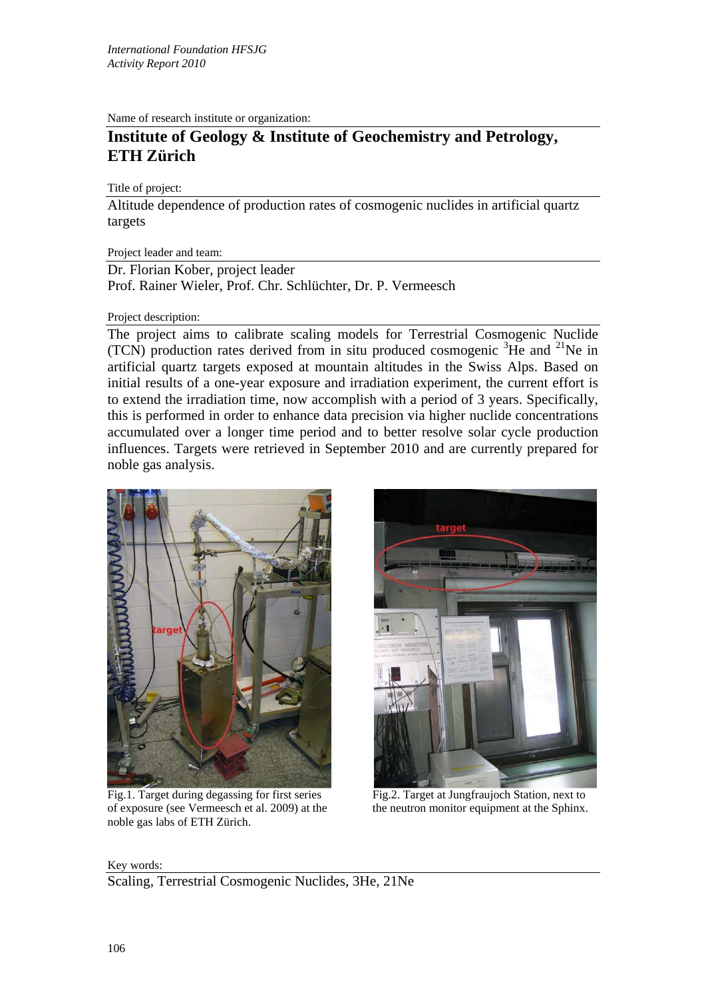Name of research institute or organization:

## **Institute of Geology & Institute of Geochemistry and Petrology, ETH Zürich**

## Title of project:

Altitude dependence of production rates of cosmogenic nuclides in artificial quartz targets

Project leader and team:

Dr. Florian Kober, project leader Prof. Rainer Wieler, Prof. Chr. Schlüchter, Dr. P. Vermeesch

## Project description:

The project aims to calibrate scaling models for Terrestrial Cosmogenic Nuclide (TCN) production rates derived from in situ produced cosmogenic  ${}^{3}$ He and  ${}^{21}$ Ne in artificial quartz targets exposed at mountain altitudes in the Swiss Alps. Based on initial results of a one-year exposure and irradiation experiment, the current effort is to extend the irradiation time, now accomplish with a period of 3 years. Specifically, this is performed in order to enhance data precision via higher nuclide concentrations accumulated over a longer time period and to better resolve solar cycle production influences. Targets were retrieved in September 2010 and are currently prepared for noble gas analysis.



Fig.1. Target during degassing for first series Fig.2. Target at Jungfraujoch Station, next to of exposure (see Vermeesch et al. 2009) at the the neutron monitor equipment at the Sphinx. noble gas labs of ETH Zürich.



Key words: Scaling, Terrestrial Cosmogenic Nuclides, 3He, 21Ne